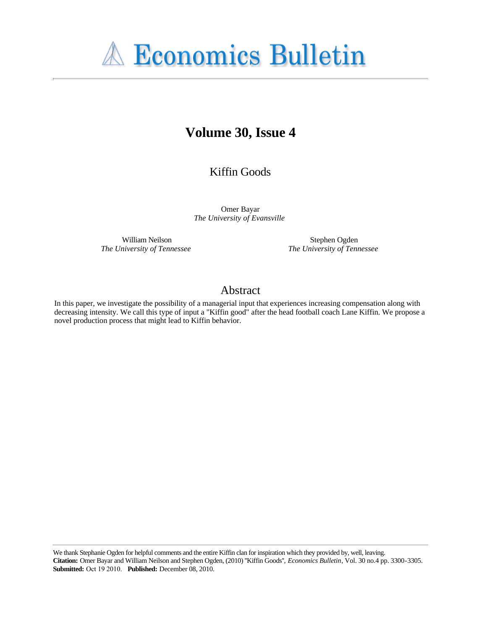

# **Volume 30, Issue 4**

Kiffin Goods

Omer Bayar *The University of Evansville*

William Neilson *The University of Tennessee*

Stephen Ogden *The University of Tennessee*

## Abstract

In this paper, we investigate the possibility of a managerial input that experiences increasing compensation along with decreasing intensity. We call this type of input a "Kiffin good" after the head football coach Lane Kiffin. We propose a novel production process that might lead to Kiffin behavior.

We thank Stephanie Ogden for helpful comments and the entire Kiffin clan for inspiration which they provided by, well, leaving. **Citation:** Omer Bayar and William Neilson and Stephen Ogden, (2010) ''Kiffin Goods'', *Economics Bulletin*, Vol. 30 no.4 pp. 3300-3305. **Submitted:** Oct 19 2010. **Published:** December 08, 2010.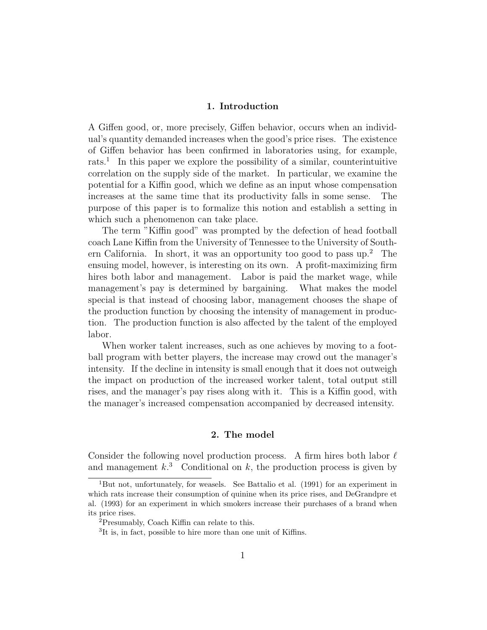#### 1. Introduction

A Giffen good, or, more precisely, Giffen behavior, occurs when an individual's quantity demanded increases when the good's price rises. The existence of Giffen behavior has been confirmed in laboratories using, for example, rats.<sup>1</sup> In this paper we explore the possibility of a similar, counterintuitive correlation on the supply side of the market. In particular, we examine the potential for a Kiffin good, which we define as an input whose compensation increases at the same time that its productivity falls in some sense. The purpose of this paper is to formalize this notion and establish a setting in which such a phenomenon can take place.

The term "Kiffin good" was prompted by the defection of head football coach Lane Kiffin from the University of Tennessee to the University of Southern California. In short, it was an opportunity too good to pass  $up.^2$  The ensuing model, however, is interesting on its own. A profit-maximizing firm hires both labor and management. Labor is paid the market wage, while management's pay is determined by bargaining. What makes the model special is that instead of choosing labor, management chooses the shape of the production function by choosing the intensity of management in production. The production function is also affected by the talent of the employed labor.

When worker talent increases, such as one achieves by moving to a football program with better players, the increase may crowd out the manager's intensity. If the decline in intensity is small enough that it does not outweigh the impact on production of the increased worker talent, total output still rises, and the manager's pay rises along with it. This is a Kiffin good, with the manager's increased compensation accompanied by decreased intensity.

#### 2. The model

Consider the following novel production process. A firm hires both labor  $\ell$ and management  $k^3$  Conditional on k, the production process is given by

<sup>1</sup>But not, unfortunately, for weasels. See Battalio et al. (1991) for an experiment in which rats increase their consumption of quinine when its price rises, and DeGrandpre et al. (1993) for an experiment in which smokers increase their purchases of a brand when its price rises.

<sup>2</sup>Presumably, Coach Kiffin can relate to this.

<sup>&</sup>lt;sup>3</sup>It is, in fact, possible to hire more than one unit of Kiffins.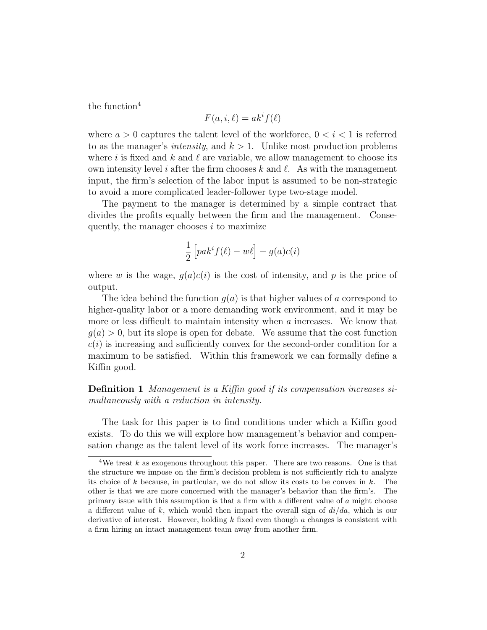the function $4$ 

$$
F(a, i, \ell) = ak^i f(\ell)
$$

where  $a > 0$  captures the talent level of the workforce,  $0 < i < 1$  is referred to as the manager's *intensity*, and  $k > 1$ . Unlike most production problems where i is fixed and k and  $\ell$  are variable, we allow management to choose its own intensity level i after the firm chooses k and  $\ell$ . As with the management input, the firm's selection of the labor input is assumed to be non-strategic to avoid a more complicated leader-follower type two-stage model.

The payment to the manager is determined by a simple contract that divides the profits equally between the firm and the management. Consequently, the manager chooses  $i$  to maximize

$$
\frac{1}{2}\left[ pak^i f(\ell) - w\ell \right] - g(a)c(i)
$$

where w is the wage,  $q(a)c(i)$  is the cost of intensity, and p is the price of output.

The idea behind the function  $q(a)$  is that higher values of a correspond to higher-quality labor or a more demanding work environment, and it may be more or less difficult to maintain intensity when a increases. We know that  $q(a) > 0$ , but its slope is open for debate. We assume that the cost function  $c(i)$  is increasing and sufficiently convex for the second-order condition for a maximum to be satisfied. Within this framework we can formally define a Kiffin good.

Definition 1 Management is a Kiffin good if its compensation increases simultaneously with a reduction in intensity.

The task for this paper is to find conditions under which a Kiffin good exists. To do this we will explore how management's behavior and compensation change as the talent level of its work force increases. The manager's

<sup>&</sup>lt;sup>4</sup>We treat k as exogenous throughout this paper. There are two reasons. One is that the structure we impose on the firm's decision problem is not sufficiently rich to analyze its choice of  $k$  because, in particular, we do not allow its costs to be convex in  $k$ . The other is that we are more concerned with the manager's behavior than the firm's. The primary issue with this assumption is that a firm with a different value of a might choose a different value of k, which would then impact the overall sign of  $di/da$ , which is our derivative of interest. However, holding  $k$  fixed even though  $a$  changes is consistent with a firm hiring an intact management team away from another firm.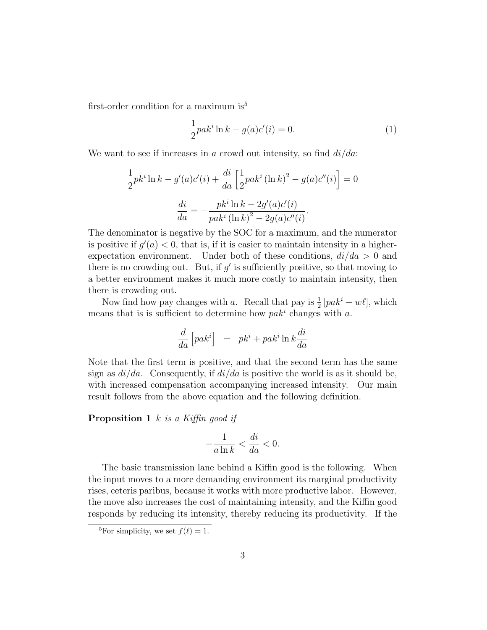first-order condition for a maximum is<sup>5</sup>

$$
\frac{1}{2}pak^{i}\ln k - g(a)c'(i) = 0.
$$
 (1)

We want to see if increases in a crowd out intensity, so find  $di/da$ :

$$
\frac{1}{2}pk^{i}\ln k - g'(a)c'(i) + \frac{di}{da}\left[\frac{1}{2}pak^{i}(\ln k)^{2} - g(a)c''(i)\right] = 0
$$

$$
\frac{di}{da} = -\frac{pk^{i}\ln k - 2g'(a)c'(i)}{pak^{i}(\ln k)^{2} - 2g(a)c''(i)}.
$$

The denominator is negative by the SOC for a maximum, and the numerator is positive if  $g'(a) < 0$ , that is, if it is easier to maintain intensity in a higherexpectation environment. Under both of these conditions,  $di/da > 0$  and there is no crowding out. But, if  $g'$  is sufficiently positive, so that moving to a better environment makes it much more costly to maintain intensity, then there is crowding out.

Now find how pay changes with a. Recall that pay is  $\frac{1}{2}$  [pak<sup>i</sup> – w $\ell$ ], which means that is is sufficient to determine how  $pak<sup>i</sup>$  changes with a.

$$
\frac{d}{da}\left[pak^i\right] ~=~ p k^i + p a k^i \ln k \frac{di}{da}
$$

Note that the first term is positive, and that the second term has the same sign as  $di/da$ . Consequently, if  $di/da$  is positive the world is as it should be, with increased compensation accompanying increased intensity. Our main result follows from the above equation and the following definition.

**Proposition 1** k is a Kiffin good if

$$
-\frac{1}{a\ln k} < \frac{di}{da} < 0.
$$

The basic transmission lane behind a Kiffin good is the following. When the input moves to a more demanding environment its marginal productivity rises, ceteris paribus, because it works with more productive labor. However, the move also increases the cost of maintaining intensity, and the Kiffin good responds by reducing its intensity, thereby reducing its productivity. If the

<sup>&</sup>lt;sup>5</sup>For simplicity, we set  $f(\ell) = 1$ .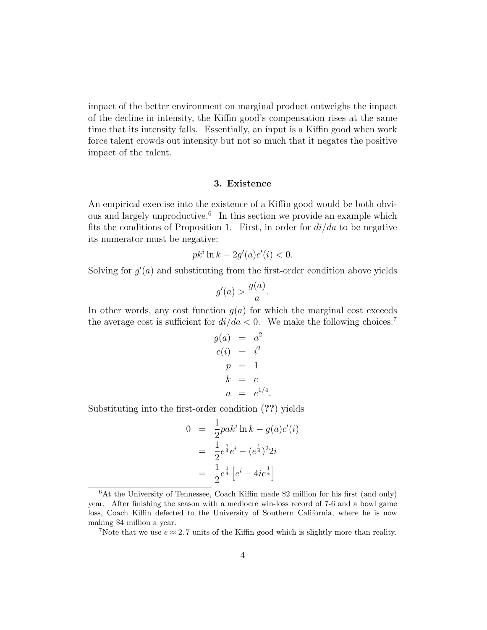impact of the better environment on marginal product outweighs the impact of the decline in intensity, the Kiffin good's compensation rises at the same time that its intensity falls. Essentially, an input is a Kiffin good when work force talent crowds out intensity but not so much that it negates the positive impact of the talent.

### 3. Existence

An empirical exercise into the existence of a Kiffin good would be both obvious and largely unproductive.<sup>6</sup> In this section we provide an example which fits the conditions of Proposition 1. First, in order for  $di/da$  to be negative its numerator must be negative:

$$
pki \ln k - 2g'(a)c'(i) < 0.
$$

Solving for  $g'(a)$  and substituting from the first-order condition above yields

$$
g'(a) > \frac{g(a)}{a}.
$$

In other words, any cost function  $g(a)$  for which the marginal cost exceeds the average cost is sufficient for  $di/da < 0$ . We make the following choices:<sup>7</sup>

$$
g(a) = a2 \n c(i) = i2 \n p = 1 \n k = e \n a = e1/4.
$$

Substituting into the first-order condition (??) yields

$$
0 = \frac{1}{2} p a k^i \ln k - g(a) c'(i)
$$
  
= 
$$
\frac{1}{2} e^{\frac{1}{4}} e^i - (e^{\frac{1}{4}})^2 2i
$$
  
= 
$$
\frac{1}{2} e^{\frac{1}{4}} [e^i - 4ie^{\frac{1}{4}}]
$$

<sup>6</sup>At the University of Tennessee, Coach Kiffin made \$2 million for his first (and only) year. After finishing the season with a mediocre win-loss record of 7-6 and a bowl game loss, Coach Kiffin defected to the University of Southern California, where he is now making \$4 million a year.

<sup>&</sup>lt;sup>7</sup>Note that we use  $e \approx 2.7$  units of the Kiffin good which is slightly more than reality.